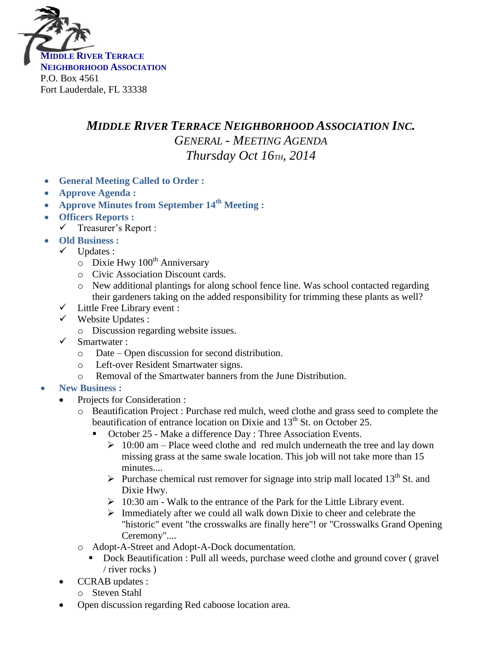

## *MIDDLE RIVER TERRACE NEIGHBORHOOD ASSOCIATION INC. GENERAL - MEETING AGENDA Thursday Oct 16TH, 2014*

- **General Meeting Called to Order :**
- **Approve Agenda :**
- **Approve Minutes from September 14 th Meeting :**
- **Officers Reports :**
- $\checkmark$  Treasurer's Report :
- **Old Business :**
	- $\checkmark$  Updates :
		- $\circ$  Dixie Hwy 100<sup>th</sup> Anniversary
		- o Civic Association Discount cards.
		- o New additional plantings for along school fence line. Was school contacted regarding their gardeners taking on the added responsibility for trimming these plants as well?
	- $\checkmark$  Little Free Library event :
	- $\checkmark$  Website Updates :
		- o Discussion regarding website issues.
	- Smartwater :
		- o Date Open discussion for second distribution.
		- o Left-over Resident Smartwater signs.
		- o Removal of the Smartwater banners from the June Distribution.
- **New Business :**
	- Projects for Consideration :
		- o Beautification Project : Purchase red mulch, weed clothe and grass seed to complete the beautification of entrance location on Dixie and 13<sup>th</sup> St. on October 25.
			- October 25 Make a difference Day : Three Association Events.
				- $\geq 10:00$  am Place weed clothe and red mulch underneath the tree and lay down missing grass at the same swale location. This job will not take more than 15 minutes....
				- Purchase chemical rust remover for signage into strip mall located  $13<sup>th</sup>$  St. and Dixie Hwy.
				- $\geq 10:30$  am Walk to the entrance of the Park for the Little Library event.
				- $\triangleright$  Immediately after we could all walk down Dixie to cheer and celebrate the "historic" event "the crosswalks are finally here"! or "Crosswalks Grand Opening Ceremony"....
		- o Adopt-A-Street and Adopt-A-Dock documentation.
			- Dock Beautification : Pull all weeds, purchase weed clothe and ground cover ( gravel / river rocks )
	- CCRAB updates :
		- o Steven Stahl
	- Open discussion regarding Red caboose location area.